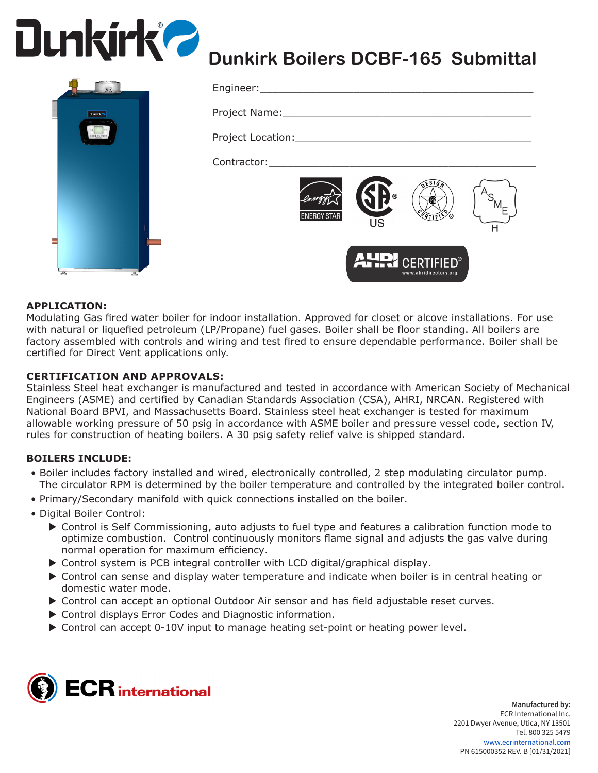



# **Dunkirk Boilers DCBF-165 Submittal**

| Engineer:____________________      |                      |                                         |  |
|------------------------------------|----------------------|-----------------------------------------|--|
| Project Name: ____________________ |                      |                                         |  |
| Project Location: ________________ |                      |                                         |  |
| Contractor:                        |                      |                                         |  |
| <b>ENERGY STAR</b>                 | $^{\circledR}$<br>US | ESIG                                    |  |
|                                    |                      | AHR CERTIFIED®<br>www.ahridirectory.org |  |

## **APPLICATION:**

Modulating Gas fired water boiler for indoor installation. Approved for closet or alcove installations. For use with natural or liquefied petroleum (LP/Propane) fuel gases. Boiler shall be floor standing. All boilers are factory assembled with controls and wiring and test fired to ensure dependable performance. Boiler shall be certified for Direct Vent applications only.

#### **CERTIFICATION AND APPROVALS:**

Stainless Steel heat exchanger is manufactured and tested in accordance with American Society of Mechanical Engineers (ASME) and certified by Canadian Standards Association (CSA), AHRI, NRCAN. Registered with National Board BPVI, and Massachusetts Board. Stainless steel heat exchanger is tested for maximum allowable working pressure of 50 psig in accordance with ASME boiler and pressure vessel code, section IV, rules for construction of heating boilers. A 30 psig safety relief valve is shipped standard.

## **BOILERS INCLUDE:**

- Boiler includes factory installed and wired, electronically controlled, 2 step modulating circulator pump. The circulator RPM is determined by the boiler temperature and controlled by the integrated boiler control.
- Primary/Secondary manifold with quick connections installed on the boiler.
- Digital Boiler Control:
	- ▶ Control is Self Commissioning, auto adjusts to fuel type and features a calibration function mode to optimize combustion. Control continuously monitors flame signal and adjusts the gas valve during normal operation for maximum efficiency.
	- $\triangleright$  Control system is PCB integral controller with LCD digital/graphical display.
	- $\triangleright$  Control can sense and display water temperature and indicate when boiler is in central heating or domestic water mode.
	- ▶ Control can accept an optional Outdoor Air sensor and has field adjustable reset curves.
	- $\triangleright$  Control displays Error Codes and Diagnostic information.
	- ▶ Control can accept 0-10V input to manage heating set-point or heating power level.



**Manufactured by:** ECR International Inc. 2201 Dwyer Avenue, Utica, NY 13501 Tel. 800 325 5479 www.ecrinternational.com PN 615000352 REV. B [01/31/2021]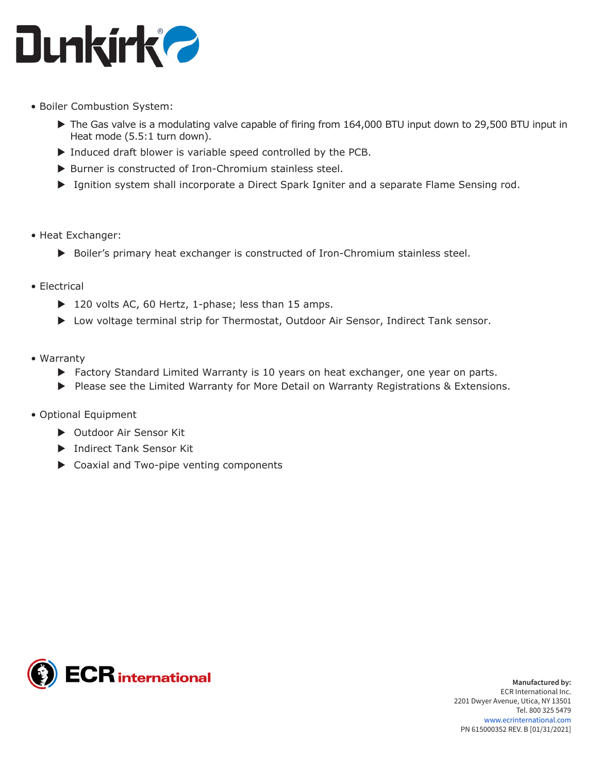

- Boiler Combustion System:
	- $\triangleright$  The Gas valve is a modulating valve capable of firing from 164,000 BTU input down to 29,500 BTU input in Heat mode (5.5:1 turn down).
	- $\triangleright$  Induced draft blower is variable speed controlled by the PCB.
	- $\triangleright$  Burner is constructed of Iron-Chromium stainless steel.
	- ▶ Ignition system shall incorporate a Direct Spark Igniter and a separate Flame Sensing rod.
- Heat Exchanger:
	- $\triangleright$  Boiler's primary heat exchanger is constructed of Iron-Chromium stainless steel.
- Electrical
	- $\triangleright$  120 volts AC, 60 Hertz, 1-phase; less than 15 amps.
	- ▶ Low voltage terminal strip for Thermostat, Outdoor Air Sensor, Indirect Tank sensor.
- Warranty
	- $\blacktriangleright$  Factory Standard Limited Warranty is 10 years on heat exchanger, one year on parts.
	- ▶ Please see the Limited Warranty for More Detail on Warranty Registrations & Extensions.
- Optional Equipment
	- ▶ Outdoor Air Sensor Kit
	- **Indirect Tank Sensor Kit**
	- $\triangleright$  Coaxial and Two-pipe venting components

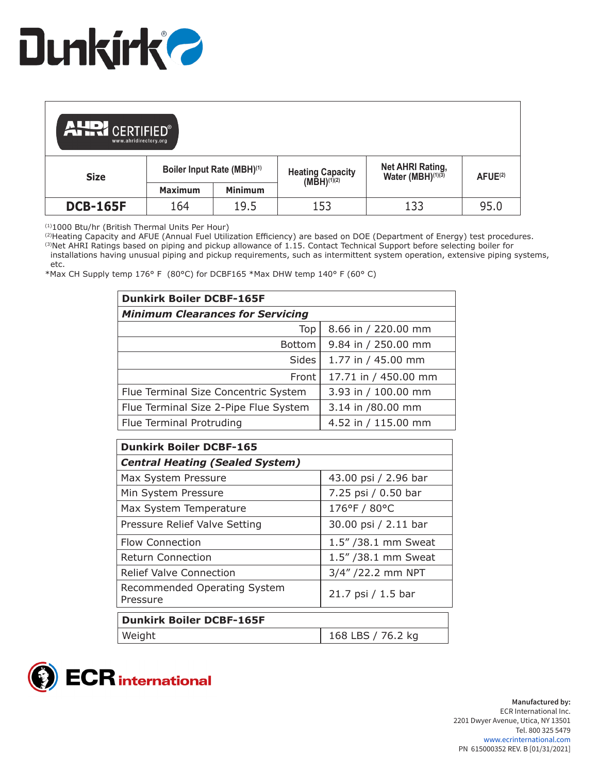

| <b>AHDI CERTIFIED®</b><br>www.ahridirectory.org |                            |                |                                             |                                                   |                      |
|-------------------------------------------------|----------------------------|----------------|---------------------------------------------|---------------------------------------------------|----------------------|
| <b>Size</b>                                     | Boiler Input Rate (MBH)(1) |                | Heating Capacity<br>(MBH) <sup>(1)(2)</sup> | Net AHRI Rating,<br>Water (MBH) <sup>(1)(3)</sup> | A FUE <sup>(2)</sup> |
|                                                 | <b>Maximum</b>             | <b>Minimum</b> |                                             |                                                   |                      |
| <b>DCB-165F</b>                                 | 164                        | 19.5           | 153                                         | 133                                               | 95.0                 |

(1)1000 Btu/hr (British Thermal Units Per Hour)

(2)Heating Capacity and AFUE (Annual Fuel Utilization Efficiency) are based on DOE (Department of Energy) test procedures. <sup>(3)</sup>Net AHRI Ratings based on piping and pickup allowance of 1.15. Contact Technical Support before selecting boiler for installations having unusual piping and pickup requirements, such as intermittent system operation, extensive piping systems,

 etc. \*Max CH Supply temp 176° F (80°C) for DCBF165 \*Max DHW temp 140° F (60° C)

| <b>Dunkirk Boiler DCBF-165F</b>         |                      |  |  |  |
|-----------------------------------------|----------------------|--|--|--|
| <b>Minimum Clearances for Servicing</b> |                      |  |  |  |
| Top                                     | 8.66 in / 220.00 mm  |  |  |  |
| <b>Bottom</b>                           | 9.84 in / 250.00 mm  |  |  |  |
| Sides                                   | 1.77 in / 45.00 mm   |  |  |  |
| Front                                   | 17.71 in / 450.00 mm |  |  |  |
| Flue Terminal Size Concentric System    | 3.93 in / 100.00 mm  |  |  |  |
| Flue Terminal Size 2-Pipe Flue System   | 3.14 in /80.00 mm    |  |  |  |
| Flue Terminal Protruding                | 4.52 in / 115.00 mm  |  |  |  |

| <b>Dunkirk Boiler DCBF-165</b>           |                      |  |  |
|------------------------------------------|----------------------|--|--|
| <b>Central Heating (Sealed System)</b>   |                      |  |  |
| Max System Pressure                      | 43.00 psi / 2.96 bar |  |  |
| Min System Pressure                      | 7.25 psi / 0.50 bar  |  |  |
| Max System Temperature                   | 176°F / 80°C         |  |  |
| Pressure Relief Valve Setting            | 30.00 psi / 2.11 bar |  |  |
| <b>Flow Connection</b>                   | 1.5" / 38.1 mm Sweat |  |  |
| <b>Return Connection</b>                 | 1.5" / 38.1 mm Sweat |  |  |
| <b>Relief Valve Connection</b>           | 3/4" /22.2 mm NPT    |  |  |
| Recommended Operating System<br>Pressure | 21.7 psi / 1.5 bar   |  |  |
| <b>Dunkirk Boiler DCBF-165F</b>          |                      |  |  |
| Weight                                   | 168 LBS / 76.2 kg    |  |  |

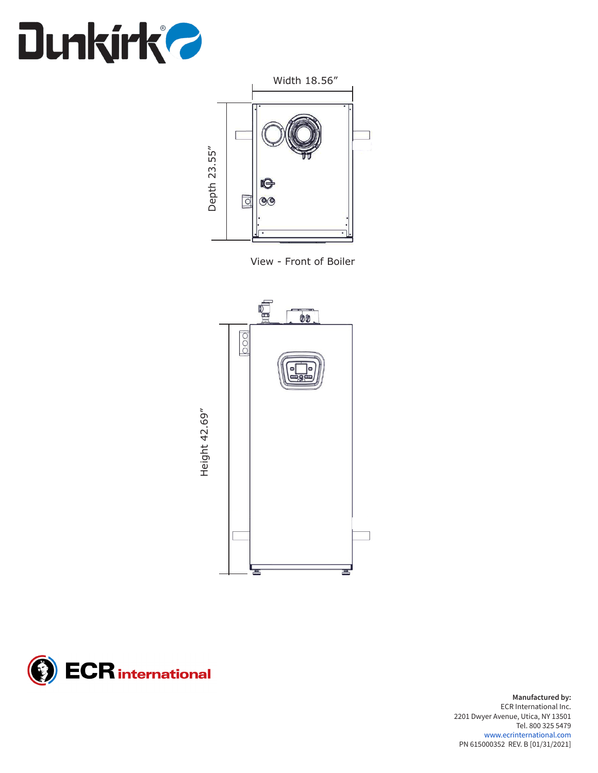



View - Front of Boiler





**Manufactured by:** ECR International Inc. 2201 Dwyer Avenue, Utica, NY 13501 Tel. 800 325 5479 www.ecrinternational.com PN 615000352 REV. B [01/31/2021]